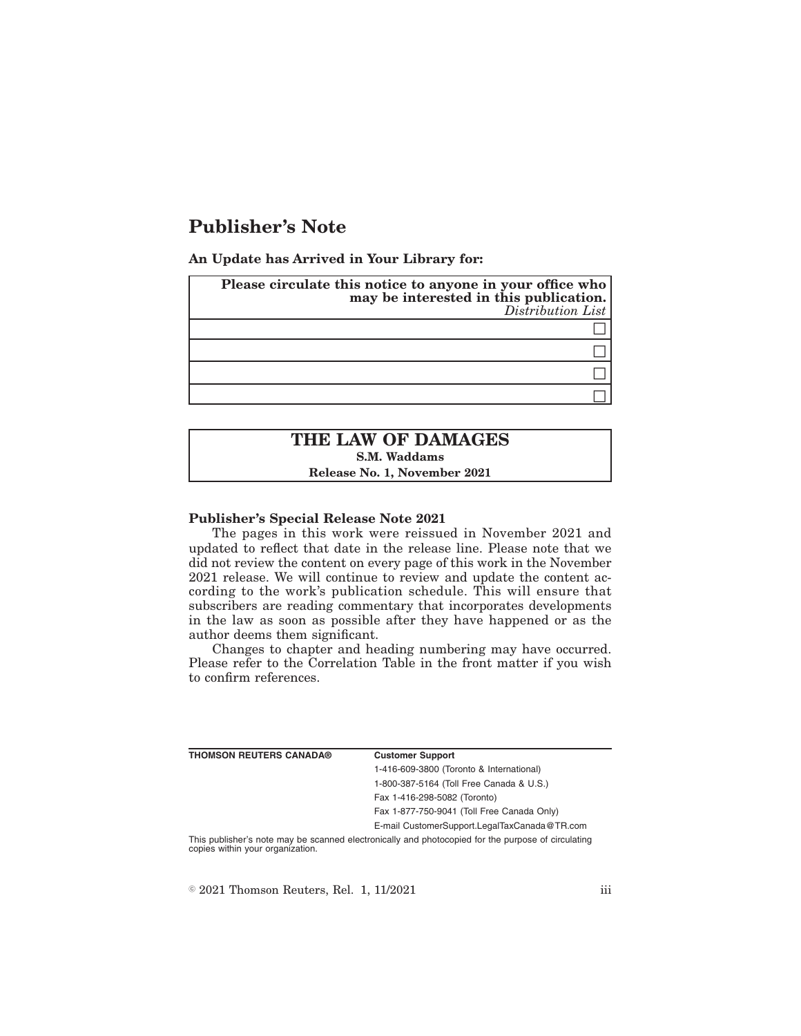# **Publisher's Note**

**An Update has Arrived in Your Library for:**

| Please circulate this notice to anyone in your office who<br>may be interested in this publication.<br>Distribution List |
|--------------------------------------------------------------------------------------------------------------------------|
|                                                                                                                          |
|                                                                                                                          |
|                                                                                                                          |
|                                                                                                                          |

## **THE LAW OF DAMAGES S.M. Waddams Release No. 1, November 2021**

#### **Publisher's Special Release Note 2021**

The pages in this work were reissued in November 2021 and updated to reflect that date in the release line. Please note that we did not review the content on every page of this work in the November 2021 release. We will continue to review and update the content according to the work's publication schedule. This will ensure that subscribers are reading commentary that incorporates developments in the law as soon as possible after they have happened or as the author deems them significant.

Changes to chapter and heading numbering may have occurred. Please refer to the Correlation Table in the front matter if you wish to confirm references.

| <b>THOMSON REUTERS CANADA®</b>   | <b>Customer Support</b>                                                                            |
|----------------------------------|----------------------------------------------------------------------------------------------------|
|                                  | 1-416-609-3800 (Toronto & International)                                                           |
|                                  | 1-800-387-5164 (Toll Free Canada & U.S.)                                                           |
|                                  | Fax 1-416-298-5082 (Toronto)                                                                       |
|                                  | Fax 1-877-750-9041 (Toll Free Canada Only)                                                         |
|                                  | E-mail CustomerSupport.LegalTaxCanada@TR.com                                                       |
| copies within your organization. | This publisher's note may be scanned electronically and photocopied for the purpose of circulating |

 $\textcircled{2021}$  Thomson Reuters, Rel. 1, 11/2021 iii